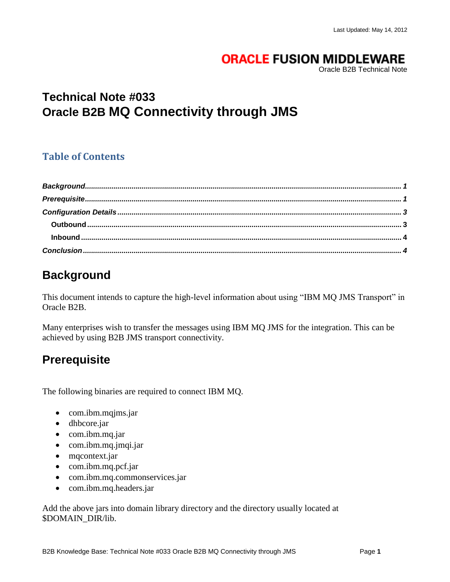### **ORACLE FUSION MIDDLEWARE**

Oracle B2B Technical Note

# **Technical Note #033 Oracle B2B MQ Connectivity through JMS**

#### **Table of Contents**

# <span id="page-0-0"></span>**Background**

This document intends to capture the high-level information about using "IBM MQ JMS Transport" in Oracle B2B.

Many enterprises wish to transfer the messages using IBM MQ JMS for the integration. This can be achieved by using B2B JMS transport connectivity.

# <span id="page-0-1"></span>**Prerequisite**

The following binaries are required to connect IBM MQ.

- com.ibm.mqjms.jar
- dhbcore.jar
- com.ibm.mq.jar
- com.ibm.mq.jmqi.jar
- mqcontext.jar
- com.ibm.mq.pcf.jar
- com.ibm.mq.commonservices.jar
- com.ibm.mq.headers.jar

Add the above jars into domain library directory and the directory usually located at \$DOMAIN\_DIR/lib.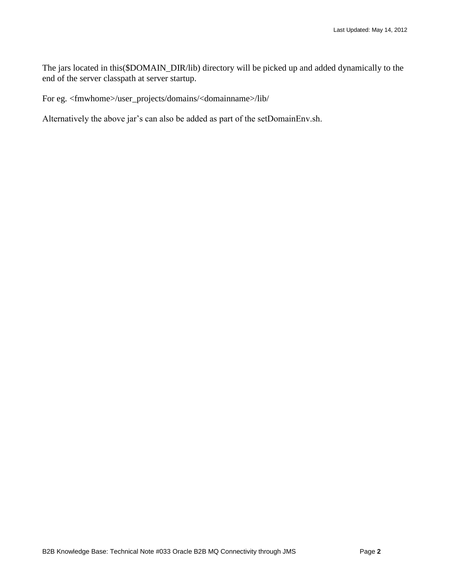The jars located in this(\$DOMAIN\_DIR/lib) directory will be picked up and added dynamically to the end of the server classpath at server startup.

For eg. <fmwhome>/user\_projects/domains/<domainname>/lib/

Alternatively the above jar's can also be added as part of the setDomainEnv.sh.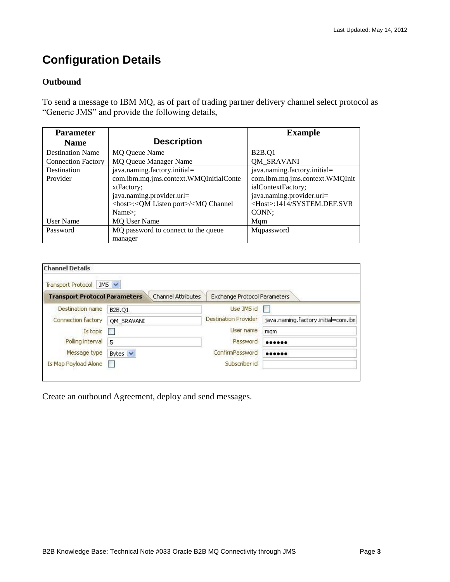# <span id="page-2-0"></span>**Configuration Details**

#### <span id="page-2-1"></span>**Outbound**

To send a message to IBM MQ, as of part of trading partner delivery channel select protocol as "Generic JMS" and provide the following details,

| <b>Parameter</b>          |                                                                                                                 | <b>Example</b>                    |
|---------------------------|-----------------------------------------------------------------------------------------------------------------|-----------------------------------|
| <b>Name</b>               | <b>Description</b>                                                                                              |                                   |
| <b>Destination Name</b>   | <b>MQ Queue Name</b>                                                                                            | <b>B2B.Q1</b>                     |
| <b>Connection Factory</b> | <b>MQ Queue Manager Name</b>                                                                                    | <b>QM_SRAVANI</b>                 |
| Destination               | java.naming.factory.initial=                                                                                    | java.naming.factory.initial=      |
| Provider                  | com.ibm.mq.jms.context.WMQInitialConte                                                                          | com.ibm.mq.jms.context.WMQInit    |
|                           | xtFactory;                                                                                                      | ialContextFactory;                |
|                           | java.naming.provider.url=                                                                                       | java.naming.provider.url=         |
|                           | <host>:<qm listen="" port="">/<mq channel<="" td=""><td><host>:1414/SYSTEM.DEF.SVR</host></td></mq></qm></host> | <host>:1414/SYSTEM.DEF.SVR</host> |
|                           | Name $\ge$ :                                                                                                    | CONN:                             |
| <b>User Name</b>          | <b>MQ User Name</b>                                                                                             | Mqm                               |
| Password                  | MQ password to connect to the queue                                                                             | Mqpassword                        |
|                           | manager                                                                                                         |                                   |

| <b>Channel Details</b>               |                    |                              |                                     |
|--------------------------------------|--------------------|------------------------------|-------------------------------------|
| <b>Transport Protocol</b>            | JMS V              |                              |                                     |
| <b>Transport Protocol Parameters</b> | Channel Attributes | Exchange Protocol Parameters |                                     |
| <b>Destination name</b>              | B2B.O1             | Use JMS id                   |                                     |
| Connection factory                   | OM SRAVANI         | <b>Destination Provider</b>  | java.naming.factory.initial=com.ibn |
| Is topic                             |                    | User name                    | mgm                                 |
| Polling interval                     | 5                  | Password                     |                                     |
| Message type                         | Bytes $\vee$       | ConfirmPassword              |                                     |
| Is Map Payload Alone                 |                    | Subscriber id                |                                     |

Create an outbound Agreement, deploy and send messages.